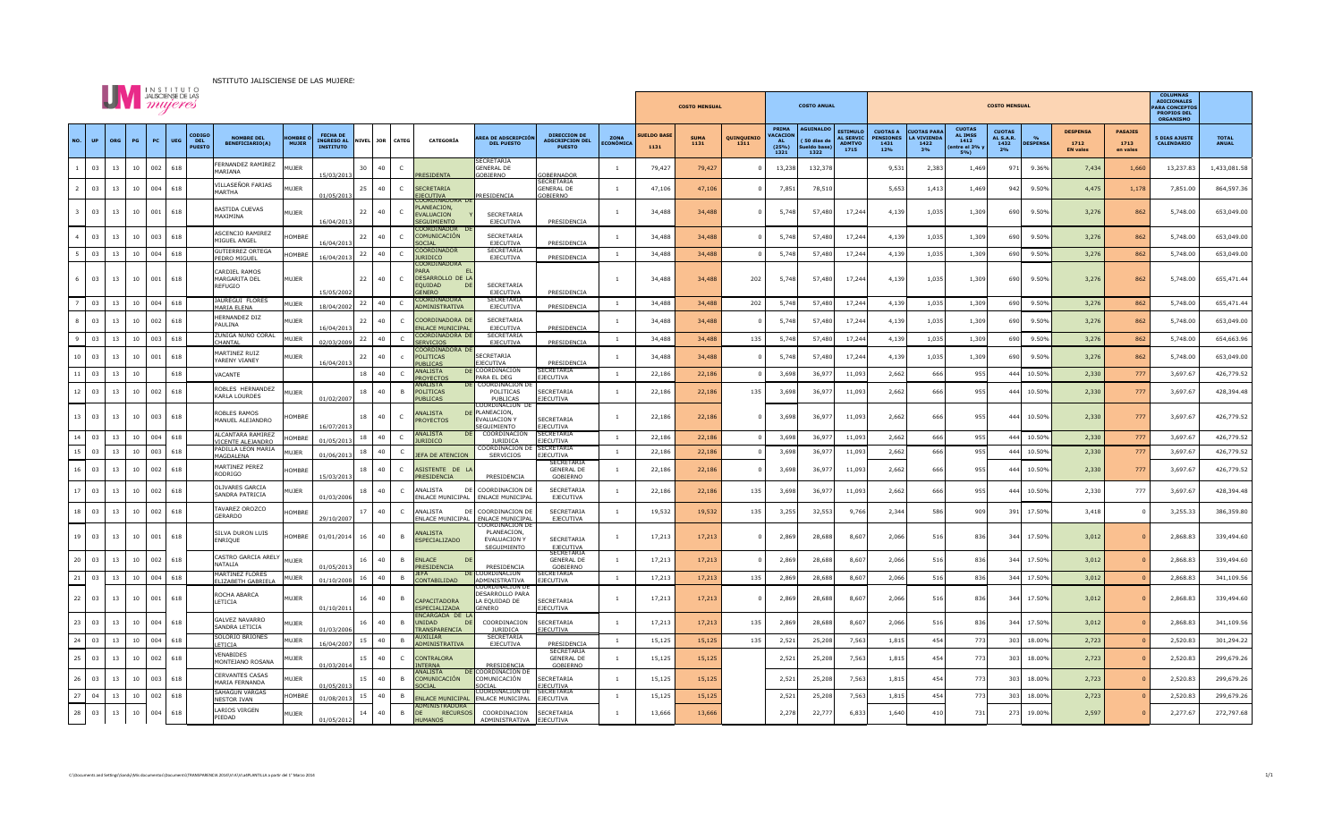

|                | <b>UV</b> <i>mujeres</i> |     |    |     |                                              |                                                             |                       |                                                          |                 |              |                                                                |                                                              |                                                         | <b>COSTO MENSUAL</b>     |                           |                     | <b>COSTO ANUAL</b> |                                                        |                                                                                                                   | <b>COLUMNAS</b><br><b>ADICIONALES</b><br><b>PARA CONCEPTOS</b><br><b>PROPIOS DEL</b><br><b>ORGANISMO</b> |                                                |                                                               |                                          |                 |                                           |                                    |                                           |                              |
|----------------|--------------------------|-----|----|-----|----------------------------------------------|-------------------------------------------------------------|-----------------------|----------------------------------------------------------|-----------------|--------------|----------------------------------------------------------------|--------------------------------------------------------------|---------------------------------------------------------|--------------------------|---------------------------|---------------------|--------------------|--------------------------------------------------------|-------------------------------------------------------------------------------------------------------------------|----------------------------------------------------------------------------------------------------------|------------------------------------------------|---------------------------------------------------------------|------------------------------------------|-----------------|-------------------------------------------|------------------------------------|-------------------------------------------|------------------------------|
| NO.            | <b>UP</b>                | ORG | PG | PC  | CODIGO<br>DEL<br><b>UEG</b><br><b>PUESTO</b> | <b>NOMBRE DEL</b><br><b>BENEFICIARIO(A)</b>                 | OMBRE<br><b>MUJER</b> | <b>FECHA DE</b><br><b>INGRESO AL</b><br><b>INSTITUTO</b> | NIVEL JOR CATEG |              | CATEGORÍA                                                      | <b>AREA DE ADSCRIPCIÓN</b><br><b>DEL PUESTO</b>              | DIRECCION DE<br><b>ADSCRIPCION DEL</b><br><b>PUESTO</b> | ZONA<br><b>ECONÓMICA</b> | <b>UELDO BASE</b><br>1131 | <b>SUMA</b><br>1131 | QUINQUENIO<br>1311 | PRIMA<br><b>VACACTON</b><br><b>AL</b><br>(25%)<br>1321 | <b>AGUINALDO</b><br><b>ESTIMULC</b><br><b>AL SERVIC</b><br>(50 dias de<br><b>ADMTVO</b><br>do bas<br>1715<br>1322 | <b>CUOTAS A</b><br><b>ENSIONES</b><br>1431<br>12%                                                        | <b>JOTAS PARA</b><br>LA VIVIENDA<br>1422<br>3% | <b>CUOTAS</b><br><b>AL TMSS</b><br>1412<br>entre el 3%<br>5%) | <b>CUOTAS</b><br>AL S.A.R.<br>1432<br>2% | <b>DESPENSA</b> | <b>DESPENS</b><br>1712<br><b>EN vales</b> | <b>PASAJES</b><br>1713<br>en vales | <b>5 DIAS AJUSTE</b><br><b>CALENDARIO</b> | <b>TOTAL</b><br><b>ANUAL</b> |
| $\overline{1}$ | 03                       | 13  | 10 | 002 | 618                                          | ERNANDEZ RAMIREZ<br>MARIANA                                 | <b>MUJER</b>          | 15/03/201                                                | 30<br>40        | C            | <b>RESIDENTA</b>                                               | <b>SECRETARIA</b><br><b>GENERAL DE</b><br><b>GOBIERNO</b>    | <u>SOBERNADOI</u><br>SECRETARIA                         | $\overline{1}$           | 79,427                    | 79,427              | $\Omega$           | 13,238                                                 | 132,378                                                                                                           | 9,531                                                                                                    | 2,383                                          | 1,469                                                         | 971                                      | 9.36%           | 7,434                                     | 1,660                              | 13,237.83                                 | 1,433,081.58                 |
| $\overline{z}$ | 03                       | 13  | 10 | 004 | 618                                          | VILLASEÑOR FARIAS<br>MARTHA                                 | MUJER                 | 01/05/2013                                               | 25<br>40        | $\mathsf{C}$ | <b>SECRETARIA</b><br><mark>EJECUTIVA</mark><br>COORDINADORA DE | PRESIDENCIA                                                  | <b>GENERAL DE</b><br>GOBIERNO                           |                          | 47,106                    | 47,106              | $\Omega$           | 7,851                                                  | 78,510                                                                                                            | 5,653                                                                                                    | 1,413                                          | 1,469                                                         | 942                                      | 9.50%           | 4,475                                     | 1,178                              | 7,851.00                                  | 864,597.36                   |
|                | 03                       | 13  | 10 | 001 | 618                                          | BASTIDA CUEVAS<br>MAXIMINA                                  | MUJER                 | 16/04/2013                                               | 22<br>40        | $\mathsf{C}$ | PLANEACION<br><b>FVALUACION</b><br>SEGUIMIENTO                 | SECRETARIA<br>EJECUTIVA                                      | PRESIDENCIA                                             | $\overline{1}$           | 34,488                    | 34,488              |                    | 5,748                                                  | 57,480<br>17,244                                                                                                  | 4,139                                                                                                    | 1,035                                          | 1,309                                                         | 690                                      | 9.50%           | 3,276                                     | 862                                | 5,748.00                                  | 653,049.00                   |
|                | 03                       | 13  | 10 | 003 | 618                                          | ASCENCIO RAMIREZ<br>MIGUEL ANGEL                            | <b>OMBRI</b>          | 16/04/2013                                               | 22<br>40        | $\mathsf{C}$ | COORDINADOR<br>COMUNICACIÓN<br>SOCIAL                          | SECRETARIA<br>EJECUTIVA                                      | PRESIDENCIA                                             |                          | 34,488                    | 34,488              |                    | 5,748                                                  | 57,480<br>17,244                                                                                                  | 4,139                                                                                                    | 1,035                                          | 1,309                                                         | 690                                      | 9.50%           | 3,276                                     | 862                                | 5,748.00                                  | 653,049.00                   |
| 5              | 03                       | 13  | 10 | 004 | 618                                          | <b>GUTIERREZ ORTEGA</b><br>PEDRO MIGUEL                     | HOMBRE                | 16/04/2013                                               | 40<br>22        | $\mathsf{C}$ | COORDINADOR<br><b>ILIRTDICO</b><br>COORDINADORA                | SECRETARIA<br>EJECUTIVA                                      | PRESIDENCIA                                             | $\overline{1}$           | 34,488                    | 34,488              | $\overline{0}$     | 5,748                                                  | 57,480<br>17,244                                                                                                  | 4,139                                                                                                    | 1,035                                          | 1,309                                                         | 690                                      | 9.50%           | 3,276                                     | 862                                | 5,748.00                                  | 653,049.00                   |
| 6              | 03                       | 13  | 10 | 001 | 618                                          | CARDIEL RAMOS<br>MARGARITA DEL<br>REFUGIO                   | MUJER                 | 15/05/2002                                               | 40<br>22        | $\mathsf{C}$ | <b>DADA</b><br>DESARROLLO DE LA<br><b>FOUIDAD</b><br>GENERO    | SECRETARIA<br>EJECUTIVA                                      | PRESIDENCIA                                             | $\overline{1}$           | 34,488                    | 34,488              | 202                | 5,748                                                  | 57,480<br>17,244                                                                                                  | 4,139                                                                                                    | 1,035                                          | 1,309                                                         | 690                                      | 9.50%           | 3,276                                     | 862                                | 5,748.00                                  | 655,471.44                   |
| $\overline{7}$ | 03                       | 13  | 10 | 004 | 618                                          | JAUREGUI FLORES<br>MARIA ELENA                              | MUJER                 | 18/04/2002                                               | 22<br>40        | C.           | COORDINADORA<br><b>ADMINISTRATIVA</b>                          | SECRETARIA<br>EJECUTIVA                                      | PRESIDENCIA                                             | $\overline{1}$           | 34,488                    | 34,488              | 202                | 5,748                                                  | 57,480<br>17,244                                                                                                  | 4,139                                                                                                    | 1,035                                          | 1,309                                                         | 690                                      | 9.50%           | 3,276                                     | 862                                | 5,748.00                                  | 655,471.44                   |
| 8              | 03                       | 13  | 10 | 002 | 618                                          | HERNANDEZ DIZ<br>PAULINA                                    | MUJER                 | 16/04/2013                                               | 22<br>40        | C            | COORDINADORA DE<br>ENLACE MUNICIPAL                            | SECRETARIA<br>EJECUTIVA                                      | PRESIDENCIA                                             |                          | 34,488                    | 34,488              |                    | 5,748                                                  | 57,480<br>17,244                                                                                                  | 4,139                                                                                                    | 1,035                                          | 1,309                                                         | 690                                      | 9.50%           | 3,276                                     | 862                                | 5,748.00                                  | 653,049.00                   |
| 9              | 03                       | 13  | 10 | 003 | 618                                          | ZUÑIGA NUÑO CORAL<br>CHANTAL                                | MUJER                 | 02/03/2009                                               | 22<br>40        |              | COORDINADORA DE<br><b>FRVICIOS</b>                             | SECRETARIA<br><b>EJECUTIVA</b>                               | PRESIDENCIA                                             | <sup>1</sup>             | 34,488                    | 34,488              | 135                | 5,748                                                  | 57,480<br>17,244                                                                                                  | 4,139                                                                                                    | 1,035                                          | 1,309                                                         | 690                                      | 9.50%           | 3,276                                     | 862                                | 5,748.00                                  | 654,663.96                   |
| 10             | 03                       | 13  | 10 | 001 | 618                                          | MARTINEZ RUIZ<br>YARENY VIANEY                              | MUJER                 | 16/04/2013                                               | 22<br>40        | $\epsilon$   | COORDINADORA DI<br><b>POLITICAS</b><br><b>PUBLICAS</b>         | SECRETARIA<br>EJECUTIVA                                      | PRESIDENCIA                                             |                          | 34,488                    | 34,488              | $\Omega$           | 5,748                                                  | 57,480<br>17,244                                                                                                  | 4,139                                                                                                    | 1,035                                          | 1,309                                                         | 690                                      | 9.50%           | 3,276                                     | 862                                | 5,748.00                                  | 653,049.00                   |
| $11\,$         | 03                       | 13  | 10 |     | 618                                          | <b><i>VACANTE</i></b>                                       |                       |                                                          | 18<br>40        | $\mathsf{C}$ | ANALISTA<br>PROYECTO                                           | DE COORDINACION<br>PARA EL DEG                               | SECRETARIA<br>EJECUTIVA                                 | $\overline{1}$           | 22,186                    | 22,186              | $\Omega$           | 3,698                                                  | 36,977<br>11,093                                                                                                  | 2,662                                                                                                    | 666                                            | 955                                                           | 444                                      | 10.50%          | 2,330                                     | 777                                | 3,697.67                                  | 426,779.52                   |
| 12             | 03                       | 13  | 10 | 002 | 618                                          | ROBLES HERNANDEZ<br><b>KARLA LOURDES</b>                    | <b>MUJER</b>          | 01/02/2007                                               | 18<br>40        | B            | ANALISTA<br><b>POLITICAS</b><br><b>PUBLICAS</b>                | COORDINACION<br>POLITICAS<br>PUBLICAS<br>COORDINACION DI     | SECRETARIA<br>EJECUTIVA                                 | $\overline{1}$           | 22,186                    | 22,186              | 135                | 3,698                                                  | 36,97<br>11,093                                                                                                   | 2,662                                                                                                    | 666                                            | 955                                                           | 44 <sub>4</sub>                          | 10.50%          | 2,330                                     | 777                                | 3,697.67                                  | 428,394.48                   |
| 13             | 03                       | 13  | 10 | 003 | 618                                          | <b>ROBLES RAMOS</b><br>MANUEL ALEJANDRO                     | <b>HOMBRE</b>         | 16/07/2013                                               | 18<br>40        | $\mathsf{C}$ | <b>ANALISTA</b><br><b>PROYECTOS</b>                            | DE PLANEACION,<br>EVALUACION '<br>SEGUIMIENTO                | SECRETARIA<br><b>FIFCUTIVA</b>                          |                          | 22,186                    | 22,186              | $\overline{0}$     | 3,698                                                  | 36,977<br>11,093                                                                                                  | 2,662                                                                                                    | 666                                            | 955                                                           | 444                                      | 10.50%          | 2,330                                     | 777                                | 3,697.67                                  | 426,779.52                   |
| 14             | 03                       | 13  | 10 | 004 | 618                                          | ALCANTARA RAMIREZ<br>VICENTE ALEJANDRO<br>ADILLA LEON MARIA | <b>HOMBRE</b>         | 01/05/2013                                               | 18<br>40        | C            | ANALISTA<br><b>JURIDICO</b>                                    | COORDINACION<br><b>JURIDICA</b><br>COORDINACION DE           | <b>SECRETARIA</b><br>EJECUTIVA<br><b>SECRETARIA</b>     | <sup>1</sup>             | 22,186                    | 22,186              | $\overline{0}$     | 3,698                                                  | 36,977<br>11,093                                                                                                  | 2,662                                                                                                    | 666                                            | 955                                                           | 444                                      | 10.50%          | 2,330                                     | 777                                | 3,697.67                                  | 426,779.52                   |
| 15             | 03                       | 13  | 10 | 003 | 618                                          | MAGDALENA                                                   | MUJER                 | 01/06/2013                                               | 18<br>40        |              | JEFA DE ATENCION                                               | SERVICIOS                                                    | EJECUTIVA<br>SECRETARI                                  | <sup>1</sup>             | 22,186                    | 22,186              | $\overline{0}$     | 3,698                                                  | 36,977<br>11,093                                                                                                  | 2,662                                                                                                    | 666                                            | 955                                                           | 444                                      | 10.50%          | 2,330                                     | 777                                | 3,697.67                                  | 426,779.52                   |
| 16             | 03                       | 13  | 10 | 002 | 618                                          | MARTINEZ PEREZ<br>RODRIGO                                   | <b>HOMBRE</b>         | 15/03/2013                                               | 40<br>18        | $\mathsf{C}$ | ASISTENTE DE LA<br>PRESIDENCIA                                 | PRESIDENCIA                                                  | <b>GENERAL DE</b><br>GOBIERNO                           |                          | 22,186                    | 22,186              |                    | 3,698                                                  | 36,977<br>11,093                                                                                                  | 2,662                                                                                                    | 666                                            | 955                                                           | 444                                      | 10.50%          | 2,330                                     | 777                                | 3,697.67                                  | 426,779.52                   |
| 17             | 03                       | 13  | 10 | 002 | 618                                          | OLIVARES GARCIA<br>SANDRA PATRICIA                          | <b>MUJER</b>          | 01/03/2006                                               | 40<br>18        |              | ANALISTA<br>DF<br>ENLACE MUNICIPAL                             | COORDINACION DE<br><b>ENLACE MUNICIPAL</b>                   | SECRETARIA<br><b>EJECUTIVA</b>                          |                          | 22,186                    | 22,186              | 135                | 3,698                                                  | 36,977<br>11,093                                                                                                  | 2,662                                                                                                    | 666                                            | 955                                                           | 44 <sub>4</sub>                          | 10.50%          | 2,330                                     | 777                                | 3,697.67                                  | 428,394.48                   |
| 18             | 03                       | 13  | 10 | 002 | 618                                          | <b>FAVAREZ OROZCO</b><br>GERARDO                            | <b>IOMBRE</b>         | 29/10/2007                                               | 40<br>17        |              | ANALISTA<br>DF<br>ENLACE MUNICIPAL                             | COORDINACION DI<br><b>ENLACE MUNICIPAL</b><br>COORDINACION D | SECRETARIA<br>EJECUTIVA                                 |                          | 19,532                    | 19,532              | 135                | 3,255                                                  | 32,553<br>9,766                                                                                                   | 2,344                                                                                                    | 586                                            | 909                                                           | 391                                      | 17.50%          | 3,418                                     |                                    | 3,255.33                                  | 386,359.80                   |
| 19             | 03                       | 13  | 10 | 001 | 618                                          | SILVA DURON LUIS<br>ENRIQUE                                 | <b>HOMBRE</b>         | 01/01/2014                                               | 16<br>40        | B            | ANALISTA<br><b>ESPECIALIZADO</b>                               | PLANEACION<br><b>EVALUACION Y</b><br>SEGUIMIENTO             | SECRETARIA<br><b>FIFCUTIVA</b>                          |                          | 17,213                    | 17,213              | $\Omega$           | 2,869                                                  | 28,688<br>8,607                                                                                                   | 2,066                                                                                                    | 516                                            | 836                                                           | 344                                      | 17.50%          | 3,012                                     |                                    | 2,868.83                                  | 339,494.60                   |
| 20             | 03                       | 13  | 10 | 002 | 618                                          | CASTRO GARCIA ARELY<br>NATALIA                              | MUJER                 | 01/05/2013                                               | 16<br>40        | B            | <b>FNI ACF</b><br>DF<br>PRESIDENCIA                            | PRESIDENCIA                                                  | <b>SECRETARIA</b><br><b>GENERAL DE</b><br>GOBIERNO      |                          | 17,213                    | 17,213              |                    | 2,869                                                  | 28,688<br>8,607                                                                                                   | 2,066                                                                                                    | 516                                            | 836                                                           | 344                                      | 17.50%          | 3,012                                     |                                    | 2,868.83                                  | 339,494.60                   |
| 21             | 03                       | 13  | 10 | 004 | 618                                          | MARTINEZ FLORES<br>LIZABETH GABRIE                          | MUJER                 | 01/10/2008                                               | 16<br>40        |              | CONTABILIDAD                                                   | COORDINACION<br>ADMINISTRATIVA                               | ECRETARIA<br><b>FIFCUTIVA</b>                           | <sup>1</sup>             | 17,213                    | 17,213              | 135                | 2,869                                                  | 28,688<br>8,607                                                                                                   | 2,066                                                                                                    | 516                                            | 836                                                           | 344                                      | 17.50%          | 3,012                                     |                                    | 2,868.83                                  | 341,109.56                   |
| 22             | 03                       | 13  | 10 | 001 | 618                                          | ROCHA ABARCA<br>LETICIA                                     | MUJER                 | 01/10/2011                                               | 16<br>40        | B            | CAPACITADORA<br><b>ESPECIALIZADA</b>                           | DESARROLLO PARA<br>LA EQUIDAD DE<br>GENERO                   | SECRETARIA<br><b>FIFCUTIVA</b>                          |                          | 17,213                    | 17,213              | $\overline{0}$     | 2,869                                                  | 28,688<br>8,607                                                                                                   | 2,066                                                                                                    | 516                                            | 836                                                           | 344                                      | 17.50%          | 3,012                                     |                                    | 2,868.83                                  | 339,494.60                   |
| 23             | 03                       | 13  | 10 | 004 | 618                                          | GALVEZ NAVARRO<br>SANDRA LETICIA                            | MUJER                 | 01/03/2006                                               | 40<br>16        | B            | ENCARGADA DE LA<br><b>UNIDAD</b><br>TRANSPARENCIA              | COORDINACION<br><b>ILIRIDICA</b>                             | SECRETARIA<br><b>IFCUTIVA</b>                           |                          | 17,213                    | 17,213              | 135                | 2,869                                                  | 28,688<br>8,607                                                                                                   | 2,066                                                                                                    | 516                                            | 836                                                           | 344                                      | 17.50%          | 3,012                                     |                                    | 2,868.83                                  | 341,109.56                   |
| 24             | 03                       | 13  | 10 | 004 | 618                                          | SOLORIO BRIONES<br>LETICIA                                  | <b>MUJER</b>          | 16/04/2007                                               | 40<br>15        |              | <b>JXILIAR</b><br>ADMINISTRATIVA                               | <b>SECRETARIA</b><br>EJECUTIVA                               | PRESIDENCIA                                             |                          | 15,125                    | 15,125              | 135                | 2,521                                                  | 25,208<br>7,563                                                                                                   | 1,815                                                                                                    | 454                                            | 773                                                           | 303                                      | 18.00%          | 2,723                                     |                                    | 2,520.83                                  | 301,294.22                   |
| 25             | 03                       | 13  | 10 | 002 | 618                                          | VENABIDES<br>MONTEJANO ROSANA                               | MUJER                 | 01/03/201                                                | 15<br>40        | $\mathsf{C}$ | <b>CONTRALORA</b>                                              | PRESIDENCIA<br>COORDINACION DE                               | SECRETARIA<br><b>GENERAL DE</b><br>GOBIERNO             | $\overline{1}$           | 15,125                    | 15,125              |                    | 2,521                                                  | 25,208<br>7,563                                                                                                   | 1,815                                                                                                    | 454                                            | 773                                                           | 303                                      | 18.00%          | 2,723                                     |                                    | 2,520.83                                  | 299,679.26                   |
| 26             | 03                       | 13  | 10 | 003 | 618                                          | CERVANTES CASAS<br>MARIA FERNANDA                           | <b>MUJER</b>          | 01/05/2013                                               | 15<br>40        | B            | <b>NALISTA</b><br>COMUNICACIÓN<br><b>SOCIAL</b>                | COMUNICACIÓN<br>SOCTA                                        | SECRETARIA<br><b>IFCUTIVA</b>                           |                          | 15,125                    | 15,125              |                    | 2,521                                                  | 25,208<br>7,563                                                                                                   | 1,815                                                                                                    | 454                                            | 773                                                           | 303                                      | 18.00%          | 2,723                                     |                                    | 2,520.83                                  | 299,679.26                   |
| 27             | 04                       | 13  | 10 | 002 | 618                                          | SAHAGUN VARGAS<br><b>VESTOR IVAN</b>                        | <b>IOMBRE</b>         | 01/08/2013                                               | 15<br>40        | B            | <b>ENLACE MUNICIPAL</b><br><b>ADMINISTRADORA</b>               | COORDINACION DE<br><b>ENLACE MUNICIPAL</b>                   | SECRETARIA<br>EJECUTIVA                                 |                          | 15,125                    | 15,125              |                    | 2,521                                                  | 25,208<br>7,563                                                                                                   | 1,815                                                                                                    | 454                                            | 773                                                           | 303                                      | 18.00%          | 2,723                                     |                                    | 2,520.83                                  | 299,679.26                   |
| 28             | 03                       | 13  | 10 | 004 | 618                                          | LARIOS VIRGEN<br>PIEDAD                                     | <b>MUJER</b>          | 01/05/2012                                               | 40              | B            | <b>RECURSOS</b><br><b>HUMANOS</b>                              | COORDINACION<br><b>ADMINISTRATIVA</b>                        | <b>SECRETARIA</b><br><b>FIFCUTIVA</b>                   |                          | 13,666                    | 13,666              |                    | 2,278                                                  | 22,777<br>6,833                                                                                                   | 1,640                                                                                                    | 410                                            | 731                                                           | 273                                      | 19.00%          | 2,597                                     |                                    | 2,277.67                                  | 272,797.68                   |